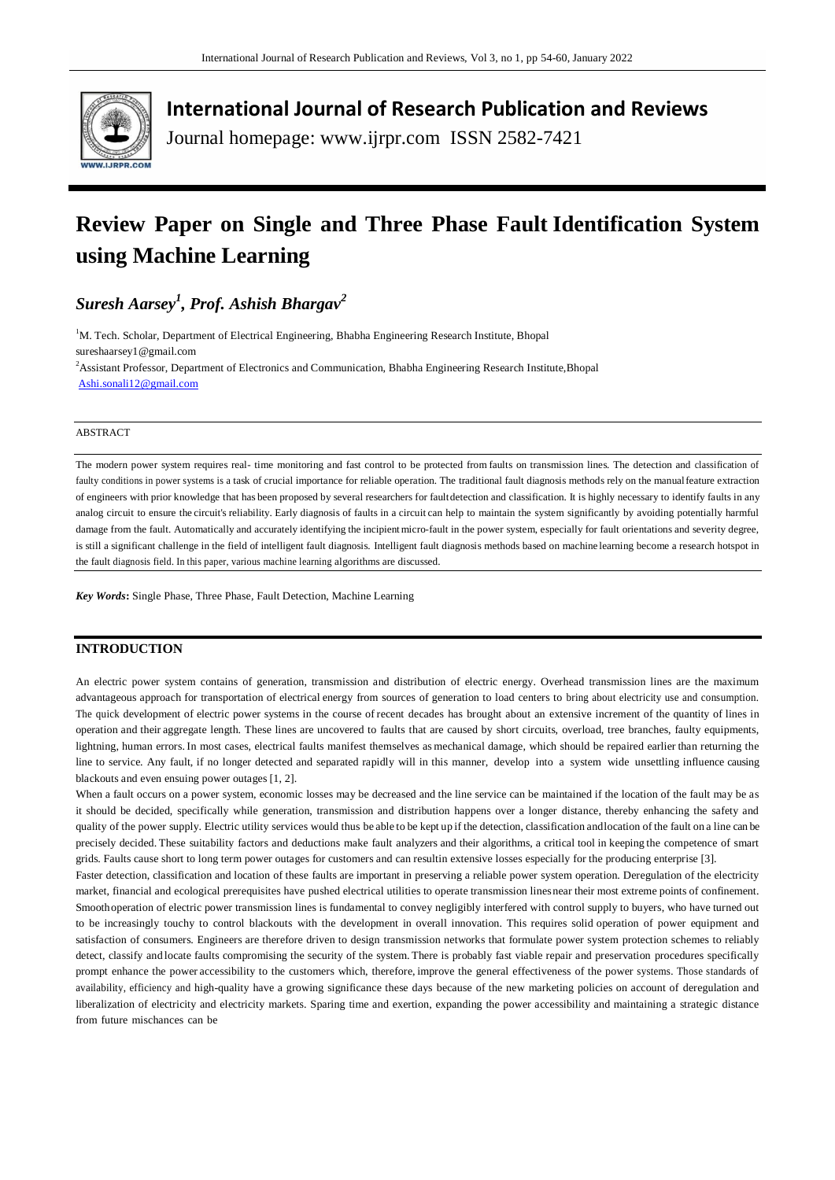

**International Journal of Research Publication and Reviews**

Journal homepage: www.ijrpr.com ISSN 2582-7421

## **Review Paper on Single and Three Phase Fault Identification System using Machine Learning**

*Suresh Aarsey<sup>1</sup> , Prof. Ashish Bhargav<sup>2</sup>*

<sup>1</sup>M. Tech. Scholar, Department of Electrical Engineering, Bhabha Engineering Research Institute, Bhopal sureshaarsey1@gmail.com <sup>2</sup>Assistant Professor, Department of Electronics and Communication, Bhabha Engineering Research Institute,Bhopal [Ashi.sonali12@gmail.com](mailto:Ashi.sonali12@gmail.com)

#### ABSTRACT

The modern power system requires real- time monitoring and fast control to be protected from faults on transmission lines. The detection and classification of faulty conditions in power systems is a task of crucial importance for reliable operation. The traditional fault diagnosis methods rely on the manual feature extraction of engineers with prior knowledge that has been proposed by several researchers for faultdetection and classification. It is highly necessary to identify faults in any analog circuit to ensure the circuit's reliability. Early diagnosis of faults in a circuit can help to maintain the system significantly by avoiding potentially harmful damage from the fault. Automatically and accurately identifying the incipient micro-fault in the power system, especially for fault orientations and severity degree, is still a significant challenge in the field of intelligent fault diagnosis. Intelligent fault diagnosis methods based on machine learning become a research hotspot in the fault diagnosis field. In this paper, various machine learning algorithms are discussed.

*Key Words***:** Single Phase, Three Phase, Fault Detection, Machine Learning

## **INTRODUCTION**

An electric power system contains of generation, transmission and distribution of electric energy. Overhead transmission lines are the maximum advantageous approach for transportation of electrical energy from sources of generation to load centers to bring about electricity use and consumption. The quick development of electric power systems in the course of recent decades has brought about an extensive increment of the quantity of lines in operation and their aggregate length. These lines are uncovered to faults that are caused by short circuits, overload, tree branches, faulty equipments, lightning, human errors.In most cases, electrical faults manifest themselves as mechanical damage, which should be repaired earlier than returning the line to service. Any fault, if no longer detected and separated rapidly will in this manner, develop into a system wide unsettling influence causing blackouts and even ensuing power outages [1, 2].

When a fault occurs on a power system, economic losses may be decreased and the line service can be maintained if the location of the fault may be as it should be decided, specifically while generation, transmission and distribution happens over a longer distance, thereby enhancing the safety and quality of the power supply. Electric utility services would thus be able to be kept up if the detection, classification andlocation of the fault on a line can be precisely decided. These suitability factors and deductions make fault analyzers and their algorithms, a critical tool in keeping the competence of smart grids. Faults cause short to long term power outages for customers and can resultin extensive losses especially for the producing enterprise [3].

Faster detection, classification and location of these faults are important in preserving a reliable power system operation. Deregulation of the electricity market, financial and ecological prerequisites have pushed electrical utilities to operate transmission linesnear their most extreme points of confinement. Smoothoperation of electric power transmission lines is fundamental to convey negligibly interfered with control supply to buyers, who have turned out to be increasingly touchy to control blackouts with the development in overall innovation. This requires solid operation of power equipment and satisfaction of consumers. Engineers are therefore driven to design transmission networks that formulate power system protection schemes to reliably detect, classify and locate faults compromising the security of the system. There is probably fast viable repair and preservation procedures specifically prompt enhance the power accessibility to the customers which, therefore, improve the general effectiveness of the power systems. Those standards of availability, efficiency and high-quality have a growing significance these days because of the new marketing policies on account of deregulation and liberalization of electricity and electricity markets. Sparing time and exertion, expanding the power accessibility and maintaining a strategic distance from future mischances can be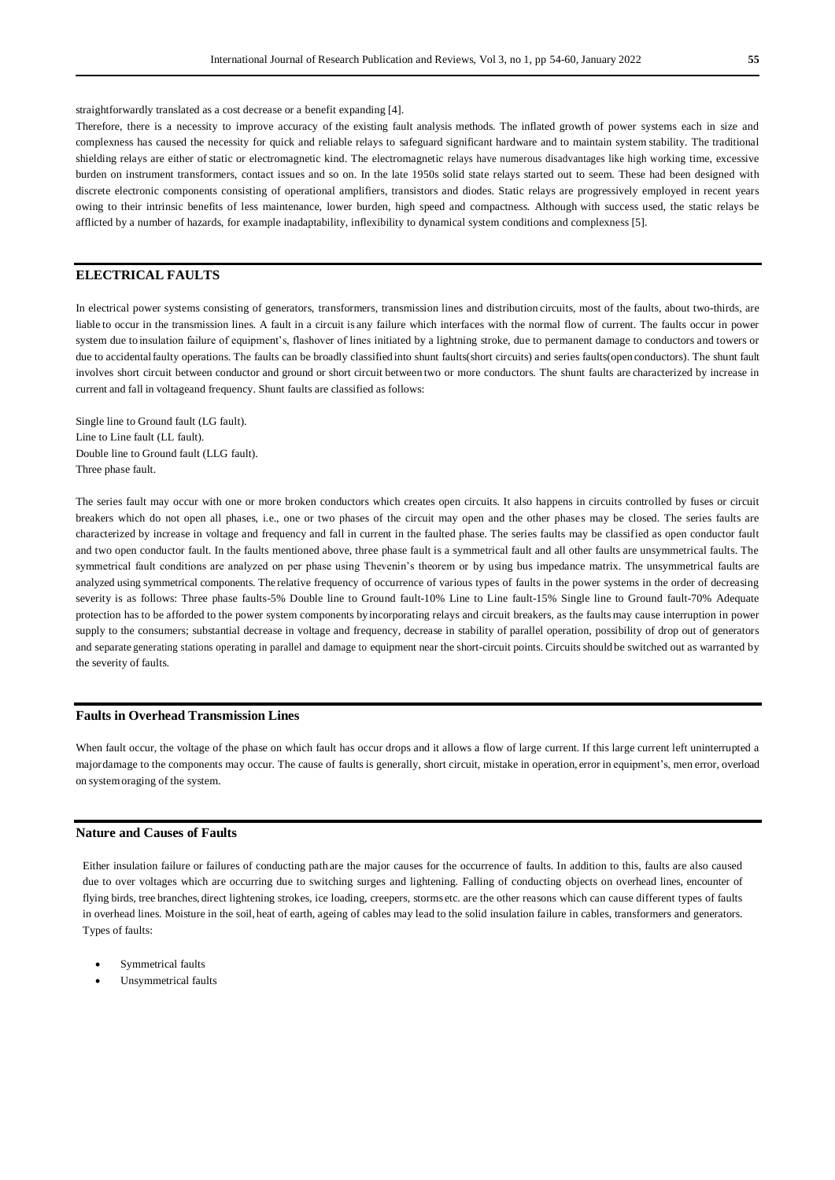straightforwardly translated as a cost decrease or a benefit expanding [4].

Therefore, there is a necessity to improve accuracy of the existing fault analysis methods. The inflated growth of power systems each in size and complexness has caused the necessity for quick and reliable relays to safeguard significant hardware and to maintain system stability. The traditional shielding relays are either of static or electromagnetic kind. The electromagnetic relays have numerous disadvantages like high working time, excessive burden on instrument transformers, contact issues and so on. In the late 1950s solid state relays started out to seem. These had been designed with discrete electronic components consisting of operational amplifiers, transistors and diodes. Static relays are progressively employed in recent years owing to their intrinsic benefits of less maintenance, lower burden, high speed and compactness. Although with success used, the static relays be afflicted by a number of hazards, for example inadaptability, inflexibility to dynamical system conditions and complexness [5].

## **ELECTRICAL FAULTS**

In electrical power systems consisting of generators, transformers, transmission lines and distribution circuits, most of the faults, about two-thirds, are liable to occur in the transmission lines. A fault in a circuit is any failure which interfaces with the normal flow of current. The faults occur in power system due to insulation failure of equipment's, flashover of lines initiated by a lightning stroke, due to permanent damage to conductors and towers or due to accidental faulty operations. The faults can be broadly classified into shunt faults(short circuits) and series faults(open conductors). The shunt fault involves short circuit between conductor and ground or short circuit between two or more conductors. The shunt faults are characterized by increase in current and fall in voltageand frequency. Shunt faults are classified as follows:

Single line to Ground fault (LG fault). Line to Line fault (LL fault). Double line to Ground fault (LLG fault). Three phase fault.

The series fault may occur with one or more broken conductors which creates open circuits. It also happens in circuits controlled by fuses or circuit breakers which do not open all phases, i.e., one or two phases of the circuit may open and the other phases may be closed. The series faults are characterized by increase in voltage and frequency and fall in current in the faulted phase. The series faults may be classified as open conductor fault and two open conductor fault. In the faults mentioned above, three phase fault is a symmetrical fault and all other faults are unsymmetrical faults. The symmetrical fault conditions are analyzed on per phase using Thevenin's theorem or by using bus impedance matrix. The unsymmetrical faults are analyzed using symmetrical components. The relative frequency of occurrence of various types of faults in the power systems in the order of decreasing severity is as follows: Three phase faults-5% Double line to Ground fault-10% Line to Line fault-15% Single line to Ground fault-70% Adequate protection has to be afforded to the power system components by incorporating relays and circuit breakers, as the faults may cause interruption in power supply to the consumers; substantial decrease in voltage and frequency, decrease in stability of parallel operation, possibility of drop out of generators and separate generating stations operating in parallel and damage to equipment near the short-circuit points. Circuits should be switched out as warranted by the severity of faults.

### **Faults in Overhead Transmission Lines**

When fault occur, the voltage of the phase on which fault has occur drops and it allows a flow of large current. If this large current left uninterrupted a majordamage to the components may occur. The cause of faults is generally, short circuit, mistake in operation, error in equipment's, men error, overload on systemoraging of the system.

#### **Nature and Causes of Faults**

Either insulation failure or failures of conducting path are the major causes for the occurrence of faults. In addition to this, faults are also caused due to over voltages which are occurring due to switching surges and lightening. Falling of conducting objects on overhead lines, encounter of flying birds, tree branches, direct lightening strokes, ice loading, creepers, storms etc. are the other reasons which can cause different types of faults in overhead lines. Moisture in the soil, heat of earth, ageing of cables may lead to the solid insulation failure in cables, transformers and generators. Types of faults:

- Symmetrical faults
- Unsymmetrical faults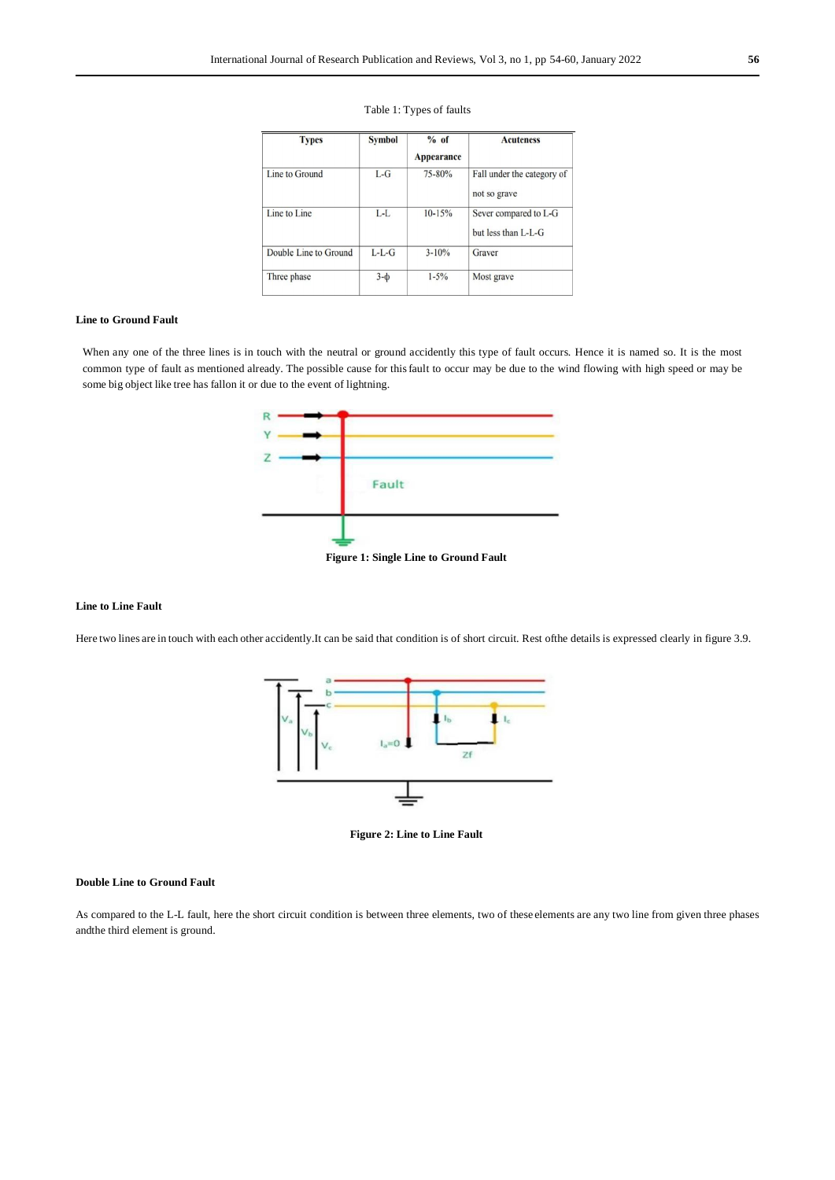| <b>Types</b>          | <b>Symbol</b> | $%$ of<br><b>Appearance</b> | <b>Acuteness</b>                             |
|-----------------------|---------------|-----------------------------|----------------------------------------------|
| Line to Ground        | $L-G$         | 75-80%                      | Fall under the category of<br>not so grave   |
| Line to Line          | $L-L$         | $10 - 15%$                  | Sever compared to L-G<br>but less than L-L-G |
| Double Line to Ground | $L-L-G$       | $3 - 10%$                   | Graver                                       |
| Three phase           | $3-\Phi$      | $1 - 5\%$                   | Most grave                                   |

## Table 1: Types of faults

## **Line to Ground Fault**

When any one of the three lines is in touch with the neutral or ground accidently this type of fault occurs. Hence it is named so. It is the most common type of fault as mentioned already. The possible cause for thisfault to occur may be due to the wind flowing with high speed or may be some big object like tree has fallon it or due to the event of lightning.



#### **Figure 1: Single Line to Ground Fault**

## **Line to Line Fault**

Here two lines are in touch with each other accidently.It can be said that condition is of short circuit. Rest of the details is expressed clearly in figure 3.9.



**Figure 2: Line to Line Fault**

## **Double Line to Ground Fault**

As compared to the L-L fault, here the short circuit condition is between three elements, two of these elements are any two line from given three phases andthe third element is ground.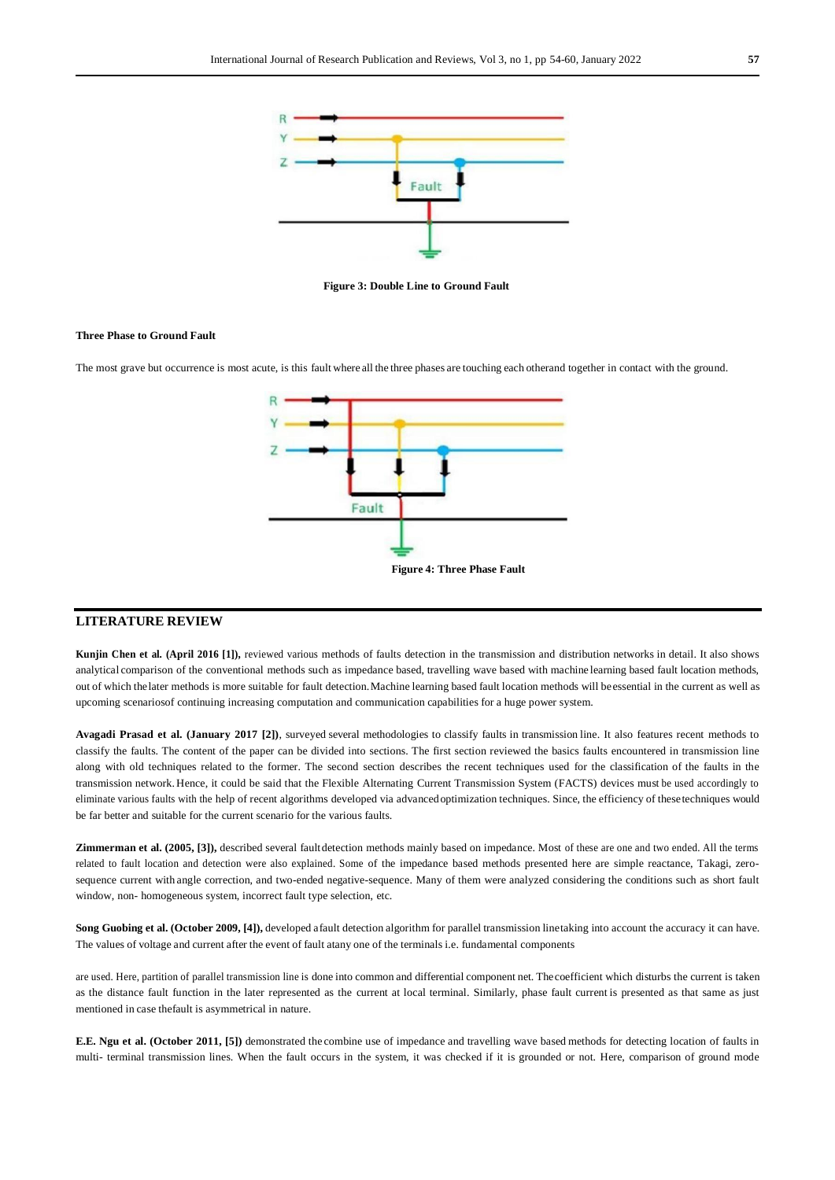

**Figure 3: Double Line to Ground Fault**

### **Three Phase to Ground Fault**

The most grave but occurrence is most acute, is this fault where all the three phases are touching each otherand together in contact with the ground.



## **LITERATURE REVIEW**

**Kunjin Chen et al. (April 2016 [1]),** reviewed various methods of faults detection in the transmission and distribution networks in detail. It also shows analytical comparison of the conventional methods such as impedance based, travelling wave based with machine learning based fault location methods, out of which thelater methods is more suitable for fault detection.Machine learning based fault location methods will beessential in the current as well as upcoming scenariosof continuing increasing computation and communication capabilities for a huge power system.

**Avagadi Prasad et al. (January 2017 [2])**, surveyed several methodologies to classify faults in transmission line. It also features recent methods to classify the faults. The content of the paper can be divided into sections. The first section reviewed the basics faults encountered in transmission line along with old techniques related to the former. The second section describes the recent techniques used for the classification of the faults in the transmission network. Hence, it could be said that the Flexible Alternating Current Transmission System (FACTS) devices must be used accordingly to eliminate various faults with the help of recent algorithms developed via advancedoptimization techniques. Since, the efficiency of thesetechniques would be far better and suitable for the current scenario for the various faults.

**Zimmerman et al. (2005, [3]),** described several faultdetection methods mainly based on impedance. Most of these are one and two ended. All the terms related to fault location and detection were also explained. Some of the impedance based methods presented here are simple reactance, Takagi, zerosequence current with angle correction, and two-ended negative-sequence. Many of them were analyzed considering the conditions such as short fault window, non- homogeneous system, incorrect fault type selection, etc.

**Song Guobing et al. (October 2009, [4]),** developed afault detection algorithm for parallel transmission linetaking into account the accuracy it can have. The values of voltage and current after the event of fault atany one of the terminals i.e. fundamental components

are used. Here, partition of parallel transmission line is done into common and differential component net. Thecoefficient which disturbs the current is taken as the distance fault function in the later represented as the current at local terminal. Similarly, phase fault current is presented as that same as just mentioned in case thefault is asymmetrical in nature.

**E.E. Ngu et al. (October 2011, [5])** demonstrated the combine use of impedance and travelling wave based methods for detecting location of faults in multi- terminal transmission lines. When the fault occurs in the system, it was checked if it is grounded or not. Here, comparison of ground mode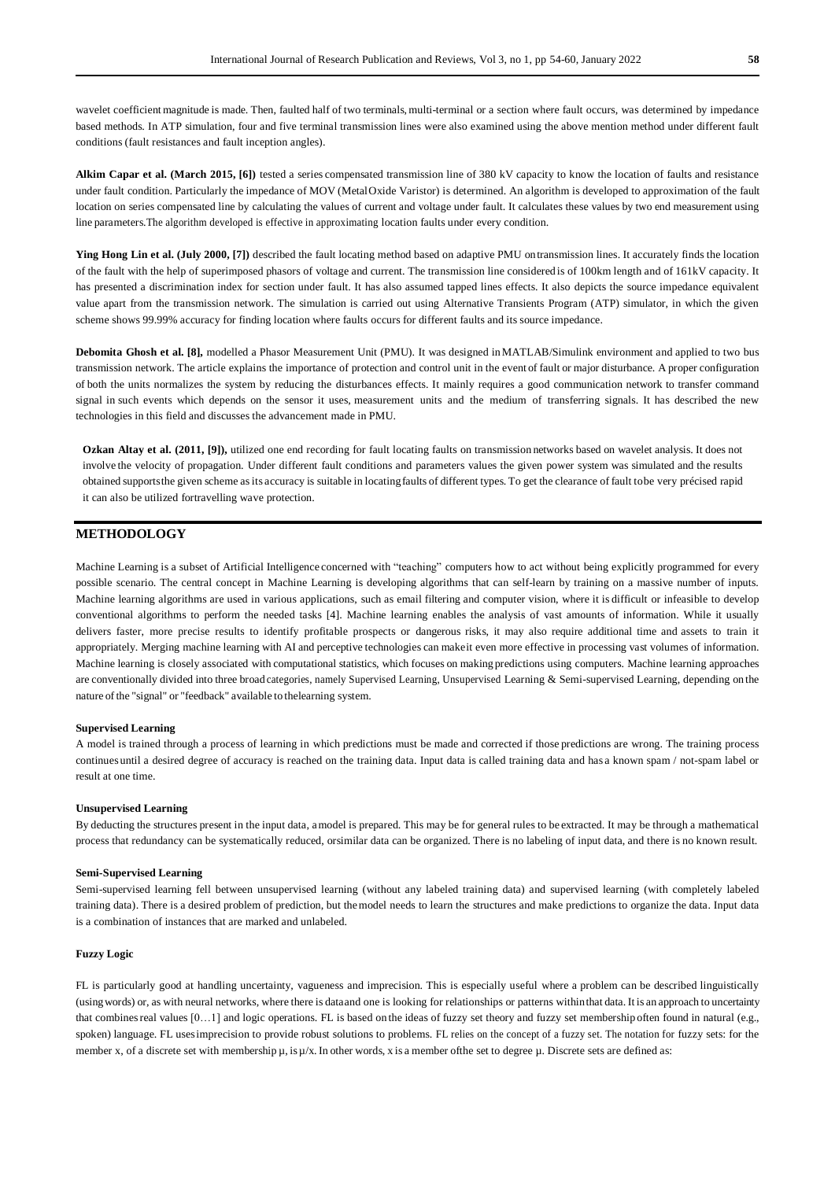wavelet coefficient magnitude is made. Then, faulted half of two terminals, multi-terminal or a section where fault occurs, was determined by impedance based methods. In ATP simulation, four and five terminal transmission lines were also examined using the above mention method under different fault conditions (fault resistances and fault inception angles).

**Alkim Capar et al. (March 2015, [6])** tested a series compensated transmission line of 380 kV capacity to know the location of faults and resistance under fault condition. Particularly the impedance of MOV (MetalOxide Varistor) is determined. An algorithm is developed to approximation of the fault location on series compensated line by calculating the values of current and voltage under fault. It calculates these values by two end measurement using line parameters.The algorithm developed is effective in approximating location faults under every condition.

**Ying Hong Lin et al. (July 2000, [7])** described the fault locating method based on adaptive PMU ontransmission lines. It accurately finds the location of the fault with the help of superimposed phasors of voltage and current. The transmission line considered is of 100km length and of 161kV capacity. It has presented a discrimination index for section under fault. It has also assumed tapped lines effects. It also depicts the source impedance equivalent value apart from the transmission network. The simulation is carried out using Alternative Transients Program (ATP) simulator, in which the given scheme shows 99.99% accuracy for finding location where faults occurs for different faults and its source impedance.

**Debomita Ghosh et al. [8],** modelled a Phasor Measurement Unit (PMU). It was designed inMATLAB/Simulink environment and applied to two bus transmission network. The article explains the importance of protection and control unit in the event of fault or major disturbance. A proper configuration of both the units normalizes the system by reducing the disturbances effects. It mainly requires a good communication network to transfer command signal in such events which depends on the sensor it uses, measurement units and the medium of transferring signals. It has described the new technologies in this field and discusses the advancement made in PMU.

**Ozkan Altay et al. (2011, [9]),** utilized one end recording for fault locating faults on transmission networks based on wavelet analysis. It does not involve the velocity of propagation. Under different fault conditions and parameters values the given power system was simulated and the results obtained supportsthe given scheme asits accuracy is suitable in locatingfaults of different types. To get the clearance of fault tobe very précised rapid it can also be utilized fortravelling wave protection.

## **METHODOLOGY**

Machine Learning is a subset of Artificial Intelligence concerned with "teaching" computers how to act without being explicitly programmed for every possible scenario. The central concept in Machine Learning is developing algorithms that can self-learn by training on a massive number of inputs. Machine learning algorithms are used in various applications, such as email filtering and computer vision, where it is difficult or infeasible to develop conventional algorithms to perform the needed tasks [4]. Machine learning enables the analysis of vast amounts of information. While it usually delivers faster, more precise results to identify profitable prospects or dangerous risks, it may also require additional time and assets to train it appropriately. Merging machine learning with AI and perceptive technologies can makeit even more effective in processing vast volumes of information. Machine learning is closely associated with computational statistics, which focuses on making predictions using computers. Machine learning approaches are conventionally divided into three broad categories, namely Supervised Learning, Unsupervised Learning & Semi-supervised Learning, depending on the nature of the "signal" or "feedback" available to thelearning system.

### **Supervised Learning**

A model is trained through a process of learning in which predictions must be made and corrected if those predictions are wrong. The training process continues until a desired degree of accuracy is reached on the training data. Input data is called training data and has a known spam / not-spam label or result at one time.

#### **Unsupervised Learning**

By deducting the structures present in the input data, amodel is prepared. This may be for general rules to be extracted. It may be through a mathematical process that redundancy can be systematically reduced, orsimilar data can be organized. There is no labeling of input data, and there is no known result.

#### **Semi-Supervised Learning**

Semi-supervised learning fell between unsupervised learning (without any labeled training data) and supervised learning (with completely labeled training data). There is a desired problem of prediction, but themodel needs to learn the structures and make predictions to organize the data. Input data is a combination of instances that are marked and unlabeled.

#### **Fuzzy Logic**

FL is particularly good at handling uncertainty, vagueness and imprecision. This is especially useful where a problem can be described linguistically (usingwords) or, as with neural networks, where there is dataand one is looking for relationships or patterns withinthat data. It is an approach to uncertainty that combinesreal values [0…1] and logic operations. FL is based on the ideas of fuzzy set theory and fuzzy set membership often found in natural (e.g., spoken) language. FL uses imprecision to provide robust solutions to problems. FL relies on the concept of a fuzzy set. The notation for fuzzy sets: for the member x, of a discrete set with membership  $\mu$ , is  $\mu$ /x. In other words, x is a member of the set to degree  $\mu$ . Discrete sets are defined as: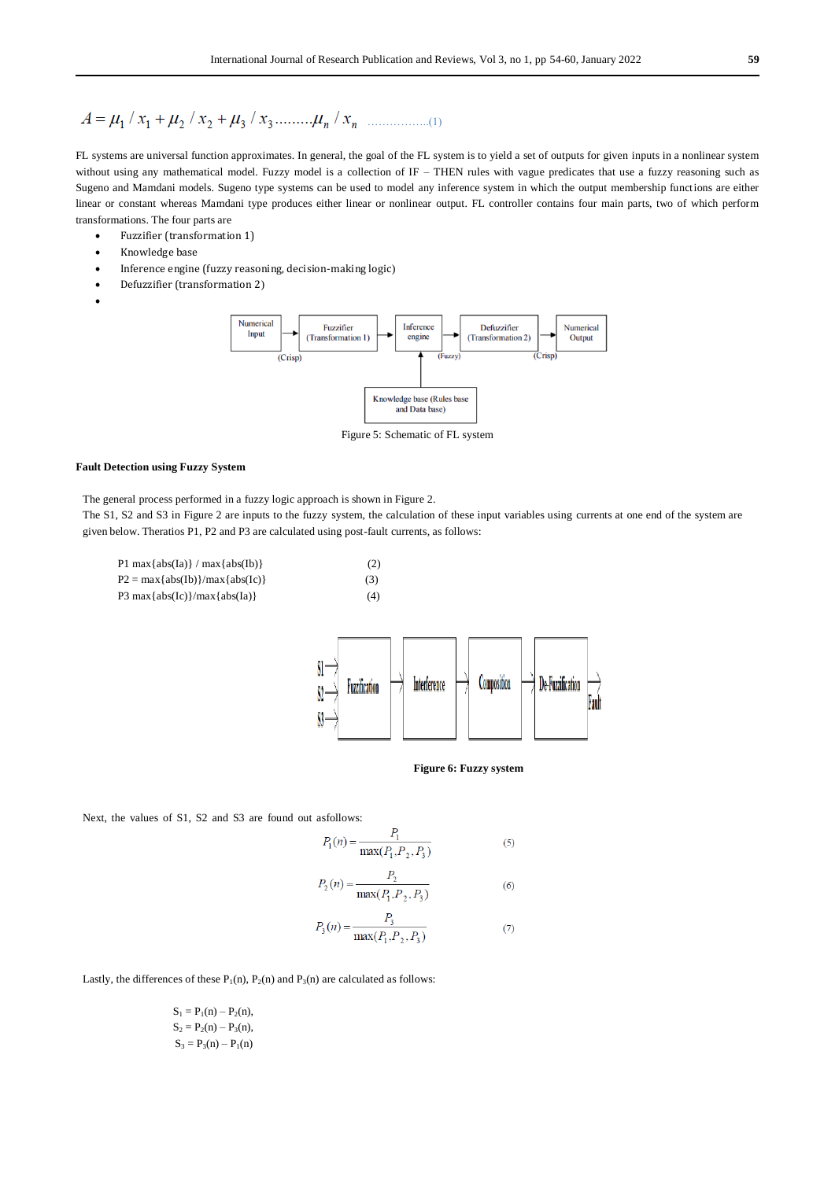# ……………..(1)

FL systems are universal function approximates. In general, the goal of the FL system is to yield a set of outputs for given inputs in a nonlinear system without using any mathematical model. Fuzzy model is a collection of IF – THEN rules with vague predicates that use a fuzzy reasoning such as Sugeno and Mamdani models. Sugeno type systems can be used to model any inference system in which the output membership functions are either linear or constant whereas Mamdani type produces either linear or nonlinear output. FL controller contains four main parts, two of which perform transformations. The four parts are

- Fuzzifier (transformation 1)
- Knowledge base
- Inference engine (fuzzy reasoning, decision-making logic)
- Defuzzifier (transformation 2)





Figure 5: Schematic of FL system

#### **Fault Detection using Fuzzy System**

The general process performed in a fuzzy logic approach is shown in Figure 2.

The S1, S2 and S3 in Figure 2 are inputs to the fuzzy system, the calculation of these input variables using currents at one end of the system are given below. Theratios P1, P2 and P3 are calculated using post-fault currents, as follows:

P1 max $\{abs(Ia)\}$  / max $\{abs(Ib)\}$  (2)  $P2 = max\{abs(Ib)\}/max\{abs(Ic)\}$  (3) P3 max $\{abs(Ic)\}/max\{abs(Ia)\}$  (4)



**Figure 6: Fuzzy system**

Next, the values of S1, S2 and S3 are found out asfollows:

$$
P_1(n) = \frac{P_1}{\max(P_1, P_2, P_3)}
$$
\n(5)

$$
P_2(n) = \frac{P_2}{\max(P_1, P_2, P_3)}
$$
(6)

$$
P_3(n) = \frac{P_3}{\max(P_1, P_2, P_3)}
$$
(7)

Lastly, the differences of these  $P_1(n)$ ,  $P_2(n)$  and  $P_3(n)$  are calculated as follows:

 $S_1 = P_1(n) - P_2(n),$  $S_2 = P_2(n) - P_3(n),$  $S_3 = P_3(n) - P_1(n)$